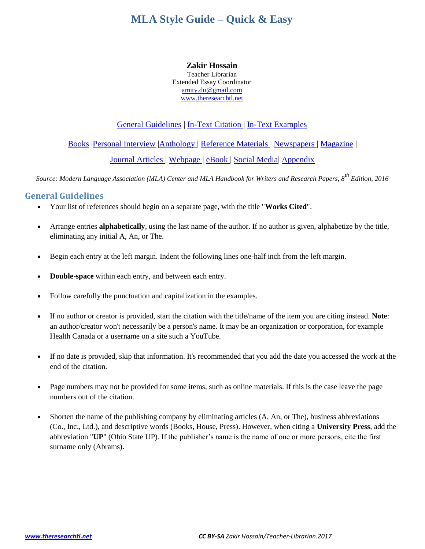#### **Zakir Hossain**

Teacher Librarian Extended Essay Coordinator [amity.du@gmail.com](mailto:amity.du@gmail.com) [www.theresearchtl.net](http://www.theresearchtl.net/)

## General Guidelines | [In-Text Citation](#page-1-0) | [In-Text Examples](#page-1-1)

[Books](#page-2-0) [|Personal Interview](#page-2-1) [|Anthology](#page-3-0) | [Reference Materials](#page-3-1) | [Newspapers](#page-3-2) | [Magazine](#page-4-0) |

[Journal Articles](#page-4-1) | [Webpage](#page-4-2) | [eBook](#page-4-3) | [Social Media|](#page-6-0) [Appendix](#page-7-0)

*Source: Modern Language Association (MLA) Center and MLA Handbook for Writers and Research Papers, 8th Edition, 2016*

# **General Guidelines**

- Your list of references should begin on a separate page, with the title "**Works Cited**".
- Arrange entries **alphabetically**, using the last name of the author. If no author is given, alphabetize by the title, eliminating any initial A, An, or The.
- Begin each entry at the left margin. Indent the following lines one-half inch from the left margin.
- **Double-space** within each entry, and between each entry.
- Follow carefully the punctuation and capitalization in the examples.
- If no author or creator is provided, start the citation with the title/name of the item you are citing instead. **Note**: an author/creator won't necessarily be a person's name. It may be an organization or corporation, for example Health Canada or a username on a site such a YouTube.
- If no date is provided, skip that information. It's recommended that you add the date you accessed the work at the end of the citation.
- Page numbers may not be provided for some items, such as online materials. If this is the case leave the page numbers out of the citation.
- Shorten the name of the publishing company by eliminating articles (A, An, or The), business abbreviations (Co., Inc., Ltd.), and descriptive words (Books, House, Press). However, when citing a **University Press**, add the abbreviation "**UP**" (Ohio State UP). If the publisher's name is the name of one or more persons, cite the first surname only (Abrams).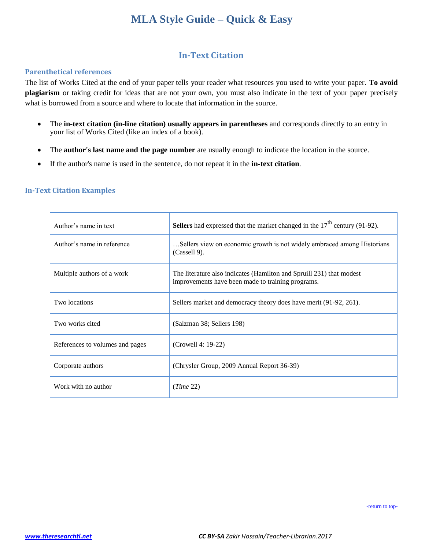# **In-Text Citation**

#### <span id="page-1-2"></span><span id="page-1-0"></span>**Parenthetical references**

The list of Works Cited at the end of your paper tells your reader what resources you used to write your paper. **To avoid plagiarism** or taking credit for ideas that are not your own, you must also indicate in the text of your paper precisely what is borrowed from a source and where to locate that information in the source.

- The **in-text citation (in-line citation) usually appears in parentheses** and corresponds directly to an entry in your list of Works Cited (like an index of a book).
- The **author's last name and the page number** are usually enough to indicate the location in the source.
- If the author's name is used in the sentence, do not repeat it in the **in-text citation**.

#### <span id="page-1-1"></span>**In-Text Citation Examples**

| Author's name in text           | <b>Sellers</b> had expressed that the market changed in the $17th$ century (91-92).                                       |
|---------------------------------|---------------------------------------------------------------------------------------------------------------------------|
| Author's name in reference      | Sellers view on economic growth is not widely embraced among Historians<br>$(Cassell 9)$ .                                |
| Multiple authors of a work      | The literature also indicates (Hamilton and Spruill 231) that modest<br>improvements have been made to training programs. |
| Two locations                   | Sellers market and democracy theory does have merit (91-92, 261).                                                         |
| Two works cited                 | (Salzman 38; Sellers 198)                                                                                                 |
| References to volumes and pages | (Crowell 4: 19-22)                                                                                                        |
| Corporate authors               | (Chrysler Group, 2009 Annual Report 36-39)                                                                                |
| Work with no author             | (Time 22)                                                                                                                 |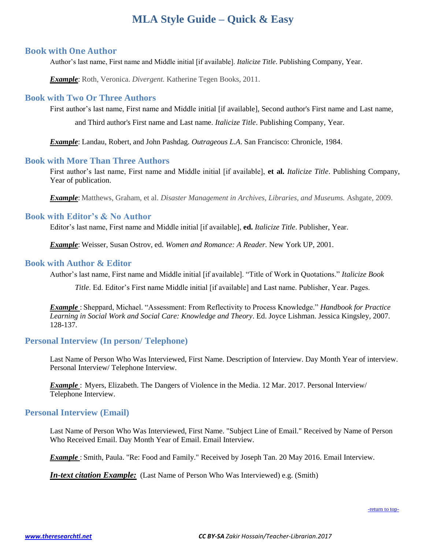### <span id="page-2-2"></span><span id="page-2-0"></span>**Book with One Author**

Author's last name, First name and Middle initial [if available]. *Italicize Title*. Publishing Company, Year.

*Example*: Roth, Veronica. *Divergent.* Katherine Tegen Books, 2011.

### **Book with Two Or Three Authors**

First author's last name, First name and Middle initial [if available], Second author's First name and Last name, and Third author's First name and Last name. *Italicize Title*. Publishing Company, Year.

*Example*: Landau, Robert, and John Pashdag. *Outrageous L.A*. San Francisco: Chronicle, 1984.

#### **Book with More Than Three Authors**

First author's last name, First name and Middle initial [if available], **et al.** *Italicize Title*. Publishing Company, Year of publication.

*Example*: Matthews, Graham, et al. *Disaster Management in Archives, Libraries, and Museums.* Ashgate, 2009.

### **Book with Editor's & No Author**

Editor's last name, First name and Middle initial [if available], **ed.** *Italicize Title*. Publisher, Year.

*Example*: Weisser, Susan Ostrov, ed. *Women and Romance: A Reader.* New York UP, 2001.

#### **Book with Author & Editor**

Author's last name, First name and Middle initial [if available]. "Title of Work in Quotations." *Italicize Book*

*Title*. Ed. Editor's First name Middle initial [if available] and Last name. Publisher, Year. Pages.

*Example* : Sheppard, Michael. "Assessment: From Reflectivity to Process Knowledge." *Handbook for Practice Learning in Social Work and Social Care: Knowledge and Theory*. Ed. Joyce Lishman. Jessica Kingsley, 2007. 128-137.

### <span id="page-2-1"></span>**Personal Interview (In person/ Telephone)**

Last Name of Person Who Was Interviewed, First Name. Description of Interview. Day Month Year of interview. Personal Interview/ Telephone Interview.

*Example* : Myers, Elizabeth. The Dangers of Violence in the Media. 12 Mar. 2017. Personal Interview/ Telephone Interview.

### **Personal Interview (Email)**

Last Name of Person Who Was Interviewed, First Name. "Subject Line of Email." Received by Name of Person Who Received Email. Day Month Year of Email. Email Interview.

*Example* : Smith, Paula. "Re: Food and Family." Received by Joseph Tan. 20 May 2016. Email Interview.

*In-text citation Example:* (Last Name of Person Who Was Interviewed) e.g. (Smith)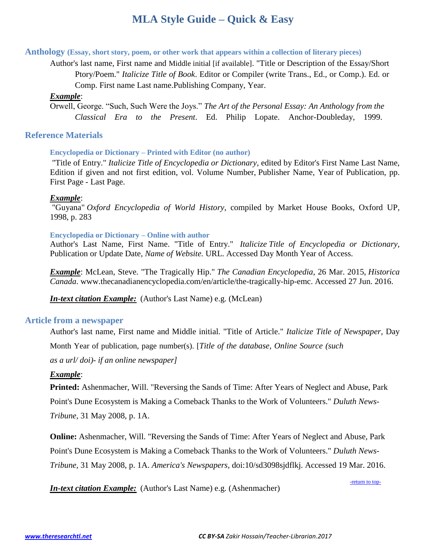## <span id="page-3-0"></span>**Anthology (Essay, short story, poem, or other work that appears within a collection of literary pieces)**

Author's last name, First name and Middle initial [if available]. "Title or Description of the Essay/Short Ptory/Poem." *Italicize Title of Book*. Editor or Compiler (write Trans., Ed., or Comp.). Ed. or Comp. First name Last name.Publishing Company, Year.

# *Example*:

Orwell, George. "Such, Such Were the Joys." *The Art of the Personal Essay: An Anthology from the Classical Era to the Present*. Ed. Philip Lopate. Anchor-Doubleday, 1999.

# <span id="page-3-1"></span>**Reference Materials**

# **Encyclopedia or Dictionary – Printed with Editor (no author)**

"Title of Entry." *Italicize Title of Encyclopedia or Dictionary*, edited by Editor's First Name Last Name, Edition if given and not first edition, vol. Volume Number, Publisher Name, Year of Publication, pp. First Page - Last Page.

## *Example*:

"Guyana" *Oxford Encyclopedia of World History*, compiled by Market House Books, Oxford UP, 1998, p. 283

## **Encyclopedia or Dictionary – Online with author**

Author's Last Name, First Name. "Title of Entry." *Italicize Title of Encyclopedia or Dictionary*, Publication or Update Date, *Name of Website.* URL. Accessed Day Month Year of Access.

*Example*: McLean, Steve. "The Tragically Hip." *The Canadian Encyclopedia*, 26 Mar. 2015, *Historica Canada*. www.thecanadianencyclopedia.com/en/article/the-tragically-hip-emc. Accessed 27 Jun. 2016.

*In-text citation Example:* (Author's Last Name) e.g. (McLean)

## <span id="page-3-2"></span>**Article from a newspaper**

Author's last name, First name and Middle initial. "Title of Article." *Italicize Title of Newspaper,* Day Month Year of publication, page number(s). [*Title of the database, Online Source (such as a url/ doi)- if an online newspaper]*

## *Example*:

**Printed:** Ashenmacher, Will. "Reversing the Sands of Time: After Years of Neglect and Abuse, Park Point's Dune Ecosystem is Making a Comeback Thanks to the Work of Volunteers." *Duluth News-Tribune,* 31 May 2008, p. 1A.

**Online:** Ashenmacher, Will. "Reversing the Sands of Time: After Years of Neglect and Abuse, Park Point's Dune Ecosystem is Making a Comeback Thanks to the Work of Volunteers." *Duluth News-Tribune,* 31 May 2008, p. 1A. *America's Newspapers,* doi:10/sd3098sjdflkj. Accessed 19 Mar. 2016.

*In-text citation Example:* (Author's Last Name) e.g. (Ashenmacher)

-return to top-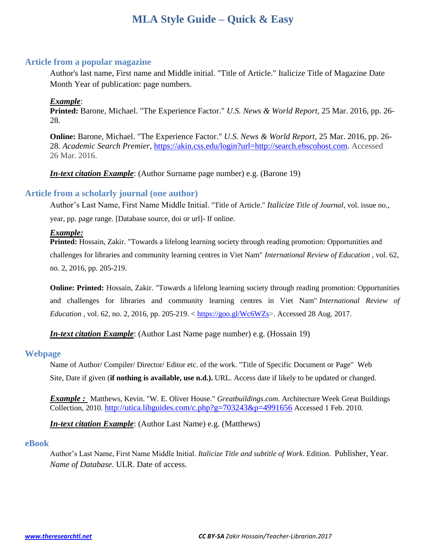### <span id="page-4-0"></span>**Article from a popular magazine**

Author's last name, First name and Middle initial. "Title of Article." Italicize Title of Magazine Date Month Year of publication: page numbers.

### *Example*:

**Printed:** Barone, Michael. "The Experience Factor." *U.S. News & World Report,* 25 Mar. 2016, pp. 26- 28.

**Online:** Barone, Michael. "The Experience Factor." *U.S. News & World Report,* 25 Mar. 2016, pp. 26- 28. *Academic Search Premier*, [https://akin.css.edu/login?url=http://search.ebscohost.com.](https://akin.css.edu/login?url=http://search.ebscohost.com) Accessed 26 Mar. 2016.

*In-text citation Example*: (Author Surname page number) e.g. (Barone 19)

### <span id="page-4-1"></span>**Article from a scholarly journal (one author)**

Author's Last Name, First Name Middle Initial. "Title of Article." *Italicize Title of Journal*, vol. issue no.,

year, pp. page range. [Database source, doi or url]- If online.

#### *Example:*

**Printed:** Hossain, Zakir. "Towards a lifelong learning society through reading promotion: Opportunities and challenges for libraries and community learning centres in Viet Nam" *International Review of Education* , vol. 62, no. 2, 2016, pp. 205-219.

**Online: Printed:** Hossain, Zakir. "Towards a lifelong learning society through reading promotion: Opportunities and challenges for libraries and community learning centres in Viet Nam" *International Review of Education* , vol. 62, no. 2, 2016, pp. 205-219. < [https://goo.gl/Wc6WZs>](https://goo.gl/Wc6WZs). Accessed 28 Aug. 2017.

*In-text citation Example*: (Author Last Name page number) e.g. (Hossain 19)

#### <span id="page-4-2"></span>**Webpage**

Name of Author/ Compiler/ Director/ Editor etc. of the work. "Title of Specific Document or Page" Web Site, Date if given (**if nothing is available, use n.d.).** URL. Access date if likely to be updated or changed.

*Example :* Matthews, Kevin. "W. E. Oliver House." *Greatbuildings.com*. Architecture Week Great Buildings Collection, 2010. <http://utica.libguides.com/c.php?g=703243&p=4991656> Accessed 1 Feb. 2010.

*In-text citation Example*: (Author Last Name) e.g. (Matthews)

#### <span id="page-4-3"></span>**eBook**

Author's Last Name, First Name Middle Initial. *Italicize Title and subtitle of Work*. Edition. Publisher, Year. *Name of Database*. ULR. Date of access.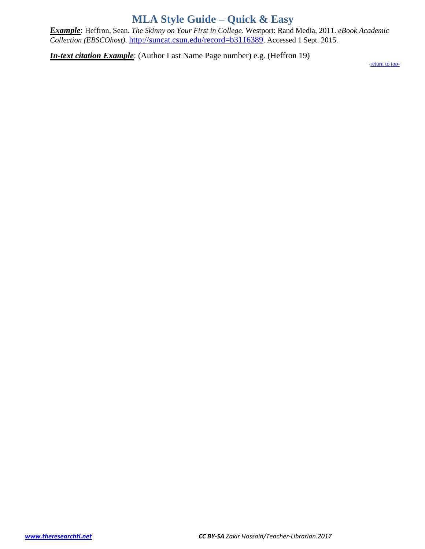<span id="page-5-0"></span>*Example*: Heffron, Sean. *The Skinny on Your First in College*. Westport: Rand Media, 2011. *eBook Academic Collection (EBSCOhost)*. <http://suncat.csun.edu/record=b3116389>. Accessed 1 Sept. 2015.

*In-text citation Example*: (Author Last Name Page number) e.g. (Heffron 19)

[-return to top-](#page-5-0)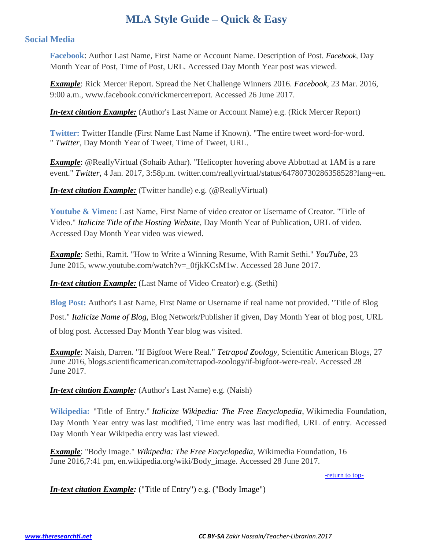## <span id="page-6-1"></span><span id="page-6-0"></span>**Social Media**

**Facebook**: Author Last Name, First Name or Account Name. Description of Post. *Facebook,* Day Month Year of Post, Time of Post, URL. Accessed Day Month Year post was viewed.

*Example*: Rick Mercer Report. Spread the Net Challenge Winners 2016. *Facebook*, 23 Mar. 2016, 9:00 a.m., www.facebook.com/rickmercerreport. Accessed 26 June 2017.

*In-text citation Example:* (Author's Last Name or Account Name) e.g. (Rick Mercer Report)

**Twitter:** Twitter Handle (First Name Last Name if Known). "The entire tweet word-for-word. " *Twitter*, Day Month Year of Tweet, Time of Tweet, URL.

*Example*: @ReallyVirtual (Sohaib Athar). "Helicopter hovering above Abbottad at 1AM is a rare event." *Twitter*, 4 Jan. 2017, 3:58p.m. twitter.com/reallyvirtual/status/64780730286358528?lang=en.

*In-text citation Example:* (Twitter handle) e.g. (@ReallyVirtual)

**Youtube & Vimeo:** Last Name, First Name of video creator or Username of Creator. "Title of Video." *Italicize Title of the Hosting Website*, Day Month Year of Publication, URL of video. Accessed Day Month Year video was viewed.

*Example*: Sethi, Ramit. "How to Write a Winning Resume, With Ramit Sethi." *YouTube*, 23 June 2015, www.youtube.com/watch?v=\_0fjkKCsM1w. Accessed 28 June 2017.

*In-text citation Example:* (Last Name of Video Creator) e.g. (Sethi)

**Blog Post:** Author's Last Name, First Name or Username if real name not provided. "Title of Blog Post." *Italicize Name of Blog,* Blog Network/Publisher if given, Day Month Year of blog post, URL of blog post. Accessed Day Month Year blog was visited.

*Example*: Naish, Darren. "If Bigfoot Were Real." *Tetrapod Zoology*, Scientific American Blogs, 27 June 2016, blogs.scientificamerican.com/tetrapod-zoology/if-bigfoot-were-real/. Accessed 28 June 2017.

*In-text citation Example:* (Author's Last Name) e.g. (Naish)

**Wikipedia:** "Title of Entry." *Italicize Wikipedia: The Free Encyclopedia,* Wikimedia Foundation, Day Month Year entry was last modified, Time entry was last modified, URL of entry. Accessed Day Month Year Wikipedia entry was last viewed.

*Example*: "Body Image." *Wikipedia: The Free Encyclopedia,* Wikimedia Foundation, 16 June 2016,7:41 pm, en.wikipedia.org/wiki/Body\_image. Accessed 28 June 2017.

[-return to top-](#page-6-1)

*In-text citation Example:* ("Title of Entry") e.g. ("Body Image")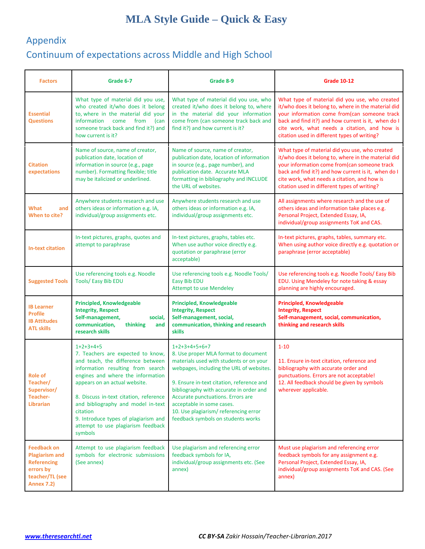# <span id="page-7-0"></span>Appendix Continuum of expectations across Middle and High School

| <b>Factors</b>                                                                                                         | Grade 6-7                                                                                                                                                                                                                                                                                                                                                                             | Grade 8-9                                                                                                                                                                                                                                                                                                                                                                              | <b>Grade 10-12</b>                                                                                                                                                                                                                                                                                           |  |
|------------------------------------------------------------------------------------------------------------------------|---------------------------------------------------------------------------------------------------------------------------------------------------------------------------------------------------------------------------------------------------------------------------------------------------------------------------------------------------------------------------------------|----------------------------------------------------------------------------------------------------------------------------------------------------------------------------------------------------------------------------------------------------------------------------------------------------------------------------------------------------------------------------------------|--------------------------------------------------------------------------------------------------------------------------------------------------------------------------------------------------------------------------------------------------------------------------------------------------------------|--|
| <b>Essential</b><br><b>Questions</b>                                                                                   | What type of material did you use,<br>who created it/who does it belong<br>to, where in the material did your<br>information<br>come from<br>(can<br>someone track back and find it?) and<br>how current is it?                                                                                                                                                                       | What type of material did you use, who<br>created it/who does it belong to, where<br>in the material did your information<br>come from (can someone track back and<br>find it?) and how current is it?                                                                                                                                                                                 | What type of material did you use, who created<br>it/who does it belong to, where in the material did<br>your information come from(can someone track<br>back and find it?) and how current is it, when do I<br>cite work, what needs a citation, and how is<br>citation used in different types of writing? |  |
| <b>Citation</b><br>expectations                                                                                        | Name of source, name of creator,<br>publication date, location of<br>information in source (e.g., page<br>number). Formatting flexible; title<br>may be italicized or underlined.                                                                                                                                                                                                     | Name of source, name of creator,<br>publication date, location of information<br>in source (e.g., page number), and<br>publication date. Accurate MLA<br>formatting in bibliography and INCLUDE<br>the URL of websites.                                                                                                                                                                | What type of material did you use, who created<br>it/who does it belong to, where in the material did<br>your information come from(can someone track<br>back and find it?) and how current is it, when do I<br>cite work, what needs a citation, and how is<br>citation used in different types of writing? |  |
| What<br>and<br>When to cite?                                                                                           | Anywhere students research and use<br>others ideas or information e.g. IA,<br>individual/group assignments etc.                                                                                                                                                                                                                                                                       | Anywhere students research and use<br>others ideas or information e.g. IA,<br>individual/group assignments etc.                                                                                                                                                                                                                                                                        | All assignments where research and the use of<br>others ideas and information take places e.g.<br>Personal Project, Extended Essay, IA,<br>individual/group assignments ToK and CAS.                                                                                                                         |  |
| <b>In-text citation</b>                                                                                                | In-text pictures, graphs, quotes and<br>attempt to paraphrase                                                                                                                                                                                                                                                                                                                         | In-text pictures, graphs, tables etc.<br>When use author voice directly e.g.<br>quotation or paraphrase (error<br>acceptable)                                                                                                                                                                                                                                                          | In-text pictures, graphs, tables, summary etc.<br>When using author voice directly e.g. quotation or<br>paraphrase (error acceptable)                                                                                                                                                                        |  |
| <b>Suggested Tools</b>                                                                                                 | Use referencing tools e.g. Noodle<br><b>Tools/ Easy Bib EDU</b>                                                                                                                                                                                                                                                                                                                       | Use referencing tools e.g. Noodle Tools/<br>Easy Bib EDU<br><b>Attempt to use Mendeley</b>                                                                                                                                                                                                                                                                                             | Use referencing tools e.g. Noodle Tools/ Easy Bib<br>EDU. Using Mendeley for note taking & essay<br>planning are highly encouraged.                                                                                                                                                                          |  |
| <b>IB Learner</b><br><b>Profile</b><br><b>IB Attitudes</b><br><b>ATL skills</b>                                        | <b>Principled, Knowledgeable</b><br><b>Integrity, Respect</b><br>Self-management,<br>social,<br>communication,<br>thinking<br>and<br>research skills                                                                                                                                                                                                                                  | <b>Principled, Knowledgeable</b><br><b>Integrity, Respect</b><br>Self-management, social,<br>communication, thinking and research<br>skills                                                                                                                                                                                                                                            | <b>Principled, Knowledgeable</b><br><b>Integrity, Respect</b><br>Self-management, social, communication,<br>thinking and research skills                                                                                                                                                                     |  |
| <b>Role of</b><br>Teacher/<br>Supervisor/<br>Teacher-<br><b>Librarian</b>                                              | $1+2+3+4+5$<br>7. Teachers are expected to know,<br>and teach, the difference between<br>information resulting from search<br>engines and where the information<br>appears on an actual website.<br>8. Discuss in-text citation, reference<br>and bibliography and model in-text<br>citation<br>9. Introduce types of plagiarism and<br>attempt to use plagiarism feedback<br>symbols | $1+2+3+4+5+6+7$<br>8. Use proper MLA format to document<br>materials used with students or on your<br>webpages, including the URL of websites.<br>9. Ensure in-text citation, reference and<br>bibliography with accurate in order and<br>Accurate punctuations. Errors are<br>acceptable in some cases.<br>10. Use plagiarism/referencing error<br>feedback symbols on students works | $1 - 10$<br>11. Ensure in-text citation, reference and<br>bibliography with accurate order and<br>punctuations. Errors are not acceptable!<br>12. All feedback should be given by symbols<br>wherever applicable.                                                                                            |  |
| <b>Feedback on</b><br><b>Plagiarism and</b><br><b>Referencing</b><br>errors by<br>teacher/TL (see<br><b>Annex 7.2)</b> | Attempt to use plagiarism feedback<br>symbols for electronic submissions<br>(See annex)                                                                                                                                                                                                                                                                                               | Use plagiarism and referencing error<br>feedback symbols for IA,<br>individual/group assignments etc. (See<br>annex)                                                                                                                                                                                                                                                                   | Must use plagiarism and referencing error<br>feedback symbols for any assignment e.g.<br>Personal Project, Extended Essay, IA,<br>individual/group assignments ToK and CAS. (See<br>annex)                                                                                                                   |  |